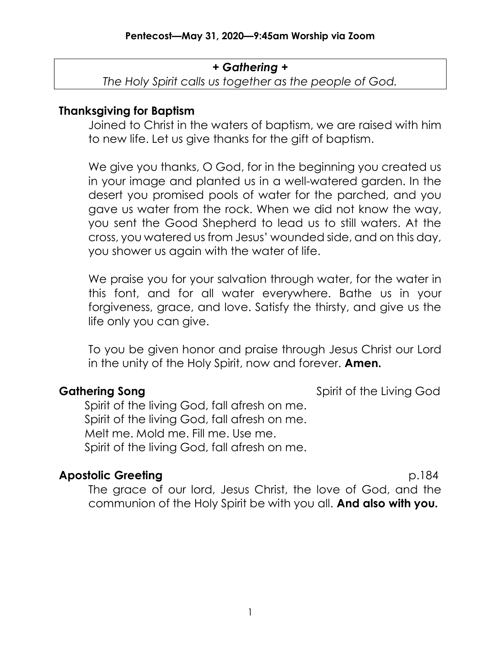## + Gathering +

The Holy Spirit calls us together as the people of God.

## Thanksgiving for Baptism

Joined to Christ in the waters of baptism, we are raised with him to new life. Let us give thanks for the gift of baptism.

We give you thanks, O God, for in the beginning you created us in your image and planted us in a well-watered garden. In the desert you promised pools of water for the parched, and you gave us water from the rock. When we did not know the way, you sent the Good Shepherd to lead us to still waters. At the cross, you watered us from Jesus' wounded side, and on this day, you shower us again with the water of life.

We praise you for your salvation through water, for the water in this font, and for all water everywhere. Bathe us in your forgiveness, grace, and love. Satisfy the thirsty, and give us the life only you can give.

To you be given honor and praise through Jesus Christ our Lord in the unity of the Holy Spirit, now and forever. **Amen.** 

**Gathering Song Community Community** Spirit of the Living God

Spirit of the living God, fall afresh on me. Spirit of the living God, fall afresh on me. Melt me. Mold me. Fill me. Use me. Spirit of the living God, fall afresh on me.

# Apostolic Greeting p.184

The grace of our lord, Jesus Christ, the love of God, and the communion of the Holy Spirit be with you all. And also with you.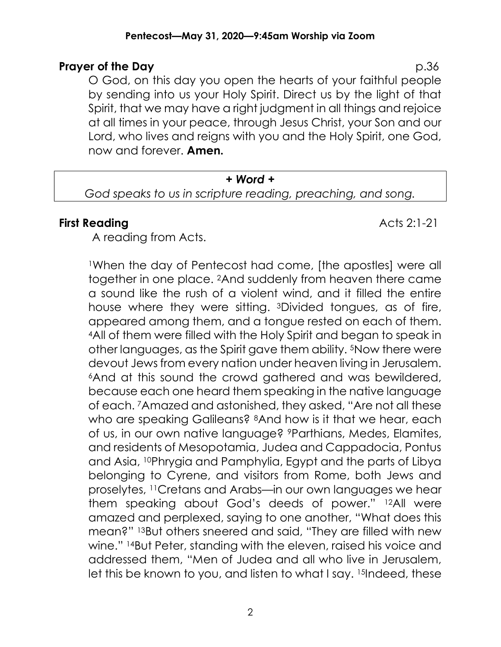### Pentecost—May 31, 2020—9:45am Worship via Zoom

## **Prayer of the Day** p.36

O God, on this day you open the hearts of your faithful people by sending into us your Holy Spirit. Direct us by the light of that Spirit, that we may have a right judgment in all things and rejoice at all times in your peace, through Jesus Christ, your Son and our Lord, who lives and reigns with you and the Holy Spirit, one God, now and forever. Amen.

### + Word +

God speaks to us in scripture reading, preaching, and song.

## **First Reading Acts 2:1-21**

A reading from Acts.

<sup>1</sup>When the day of Pentecost had come, [the apostles] were all together in one place. 2And suddenly from heaven there came a sound like the rush of a violent wind, and it filled the entire house where they were sitting. 3Divided tongues, as of fire, appeared among them, and a tongue rested on each of them. <sup>4</sup>All of them were filled with the Holy Spirit and began to speak in other languages, as the Spirit gave them ability. 5Now there were devout Jews from every nation under heaven living in Jerusalem. <sup>6</sup>And at this sound the crowd gathered and was bewildered, because each one heard them speaking in the native language of each. 7Amazed and astonished, they asked, "Are not all these who are speaking Galileans? <sup>8</sup>And how is it that we hear, each of us, in our own native language? 9Parthians, Medes, Elamites, and residents of Mesopotamia, Judea and Cappadocia, Pontus and Asia, 10Phrygia and Pamphylia, Egypt and the parts of Libya belonging to Cyrene, and visitors from Rome, both Jews and proselytes, 11Cretans and Arabs—in our own languages we hear them speaking about God's deeds of power." 12All were amazed and perplexed, saying to one another, "What does this mean?" 13But others sneered and said, "They are filled with new wine." 14But Peter, standing with the eleven, raised his voice and addressed them, "Men of Judea and all who live in Jerusalem, let this be known to you, and listen to what I say. 15Indeed, these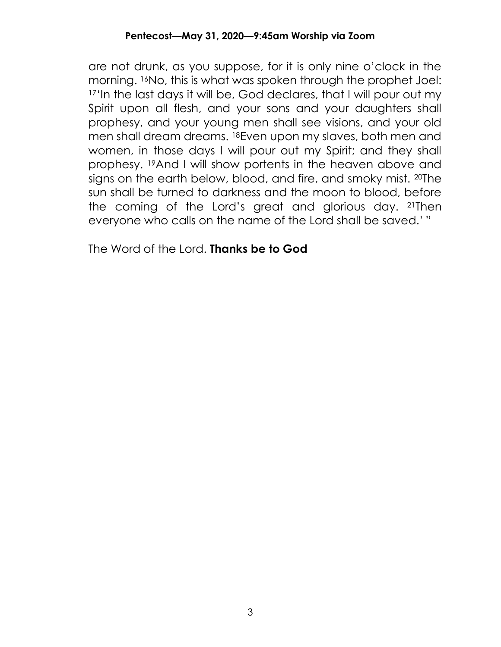are not drunk, as you suppose, for it is only nine o'clock in the morning. 16No, this is what was spoken through the prophet Joel: <sup>17'</sup>In the last days it will be, God declares, that I will pour out my Spirit upon all flesh, and your sons and your daughters shall prophesy, and your young men shall see visions, and your old men shall dream dreams. 18Even upon my slaves, both men and women, in those days I will pour out my Spirit; and they shall prophesy. 19And I will show portents in the heaven above and signs on the earth below, blood, and fire, and smoky mist. 20The sun shall be turned to darkness and the moon to blood, before the coming of the Lord's great and glorious day. 21Then everyone who calls on the name of the Lord shall be saved.' "

The Word of the Lord. **Thanks be to God**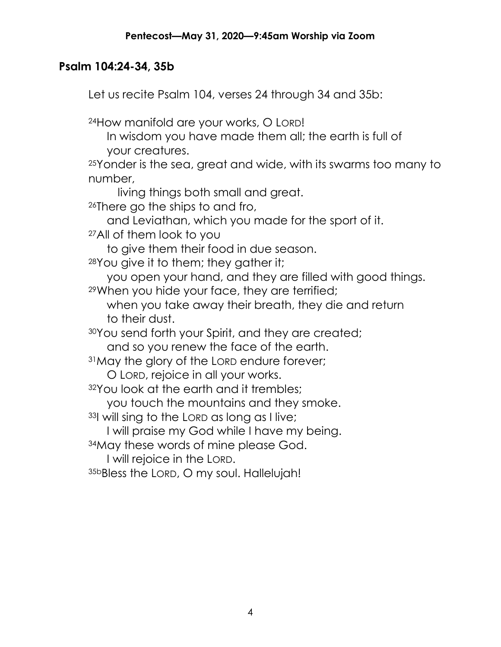# Psalm 104:24-34, 35b

Let us recite Psalm 104, verses 24 through 34 and 35b:

<sup>24</sup>How manifold are your works, O LORD!

In wisdom you have made them all; the earth is full of your creatures.

<sup>25</sup>Yonder is the sea, great and wide, with its swarms too many to number,

living things both small and great.

<sup>26</sup>There go the ships to and fro,

and Leviathan, which you made for the sport of it.

<sup>27</sup>All of them look to you

to give them their food in due season.

<sup>28</sup>You give it to them; they gather it;

you open your hand, and they are filled with good things.

<sup>29</sup>When you hide your face, they are terrified;

when you take away their breath, they die and return to their dust.

<sup>30</sup>You send forth your Spirit, and they are created;

and so you renew the face of the earth.

<sup>31</sup>May the glory of the LORD endure forever;

O LORD, rejoice in all your works.

32You look at the earth and it trembles;

you touch the mountains and they smoke.

<sup>33</sup>I will sing to the LORD as long as I live;

I will praise my God while I have my being.

<sup>34</sup>May these words of mine please God.

I will rejoice in the LORD.

35bBless the LORD, O my soul. Hallelujah!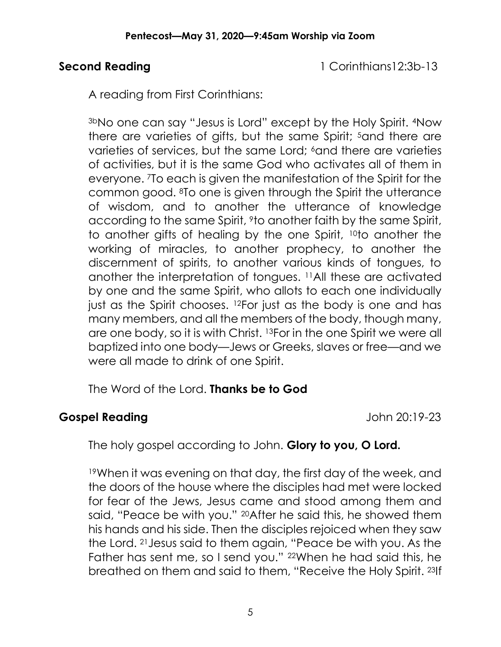Second Reading 1 Corinthians12:3b-13

A reading from First Corinthians:

3bNo one can say "Jesus is Lord" except by the Holy Spirit. 4Now there are varieties of gifts, but the same Spirit; <sup>5</sup>and there are varieties of services, but the same Lord;  $6$  and there are varieties of activities, but it is the same God who activates all of them in everyone. 7To each is given the manifestation of the Spirit for the common good. 8To one is given through the Spirit the utterance of wisdom, and to another the utterance of knowledge according to the same Spirit, <sup>9</sup>to another faith by the same Spirit, to another gifts of healing by the one Spirit, 10to another the working of miracles, to another prophecy, to another the discernment of spirits, to another various kinds of tongues, to another the interpretation of tongues. 11All these are activated by one and the same Spirit, who allots to each one individually just as the Spirit chooses. 12For just as the body is one and has many members, and all the members of the body, though many, are one body, so it is with Christ. 13For in the one Spirit we were all baptized into one body—Jews or Greeks, slaves or free—and we were all made to drink of one Spirit.

The Word of the Lord. **Thanks be to God** 

# Gospel Reading **Gospel Reading Cospel Reading**

The holy gospel according to John. Glory to you, O Lord.

<sup>19</sup>When it was evening on that day, the first day of the week, and the doors of the house where the disciples had met were locked for fear of the Jews, Jesus came and stood among them and said, "Peace be with you." 20After he said this, he showed them his hands and his side. Then the disciples rejoiced when they saw the Lord. 21Jesus said to them again, "Peace be with you. As the Father has sent me, so I send you." 22When he had said this, he breathed on them and said to them, "Receive the Holy Spirit. 23If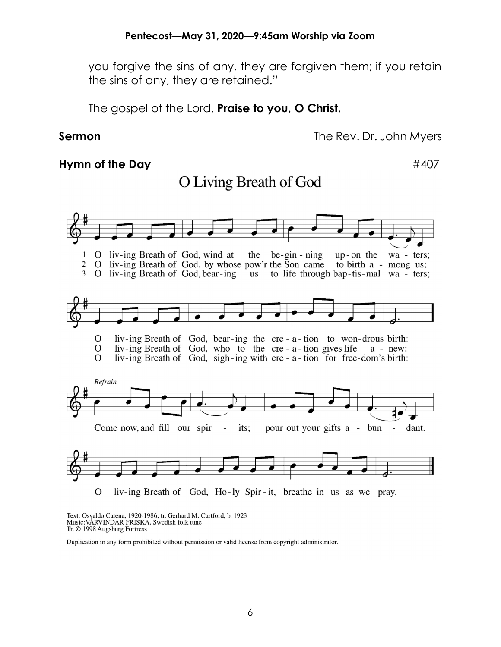O Living Breath of God

you forgive the sins of any, they are forgiven them; if you retain the sins of any, they are retained."

The gospel of the Lord. Praise to you, O Christ.

Sermon The Rev. Dr. John Myers

## Hymn of the Day  $#407$



Text: Osvaldo Catena, 1920-1986; tr. Gerhard M. Cartford, b. 1923 Music: VÅRVINDAR FRISKA, Swedish folk tune Tr. © 1998 Augsburg Fortress

Duplication in any form prohibited without permission or valid license from copyright administrator.

### 6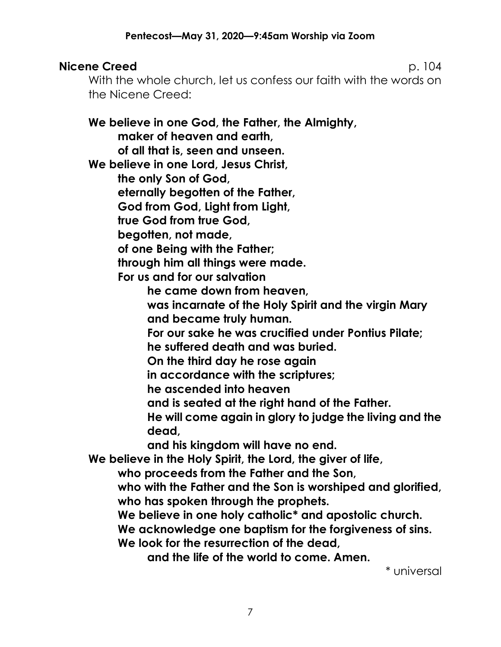# **Nicene Creed p. 104**

With the whole church, let us confess our faith with the words on the Nicene Creed:

We believe in one God, the Father, the Almighty, maker of heaven and earth, of all that is, seen and unseen. We believe in one Lord, Jesus Christ, the only Son of God, eternally begotten of the Father, God from God, Light from Light, true God from true God, begotten, not made, of one Being with the Father; through him all things were made. For us and for our salvation he came down from heaven, was incarnate of the Holy Spirit and the virgin Mary and became truly human. For our sake he was crucified under Pontius Pilate; he suffered death and was buried. On the third day he rose again in accordance with the scriptures; he ascended into heaven and is seated at the right hand of the Father. He will come again in glory to judge the living and the dead, and his kingdom will have no end. We believe in the Holy Spirit, the Lord, the giver of life, who proceeds from the Father and the Son, who with the Father and the Son is worshiped and glorified, who has spoken through the prophets. We believe in one holy catholic<sup>\*</sup> and apostolic church. We acknowledge one baptism for the forgiveness of sins. We look for the resurrection of the dead,

and the life of the world to come. Amen.

\* universal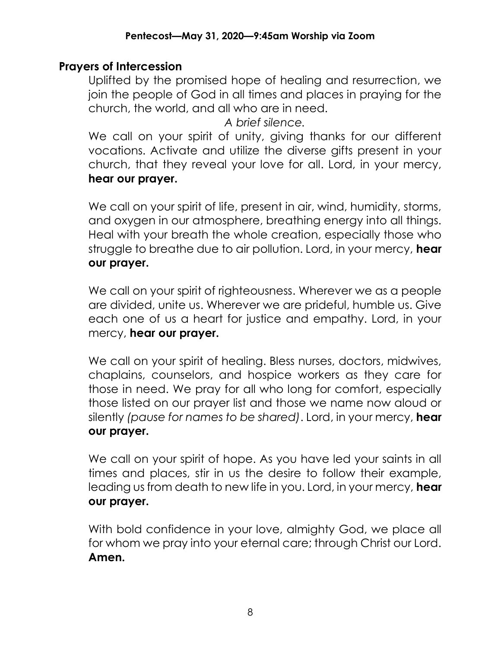## Prayers of Intercession

Uplifted by the promised hope of healing and resurrection, we join the people of God in all times and places in praying for the church, the world, and all who are in need.

A brief silence.

We call on your spirit of unity, giving thanks for our different vocations. Activate and utilize the diverse gifts present in your church, that they reveal your love for all. Lord, in your mercy, hear our prayer.

We call on your spirit of life, present in air, wind, humidity, storms, and oxygen in our atmosphere, breathing energy into all things. Heal with your breath the whole creation, especially those who struggle to breathe due to air pollution. Lord, in your mercy, hear our prayer.

We call on your spirit of righteousness. Wherever we as a people are divided, unite us. Wherever we are prideful, humble us. Give each one of us a heart for justice and empathy. Lord, in your mercy, hear our prayer.

We call on your spirit of healing. Bless nurses, doctors, midwives, chaplains, counselors, and hospice workers as they care for those in need. We pray for all who long for comfort, especially those listed on our prayer list and those we name now aloud or silently (pause for names to be shared). Lord, in your mercy, hear our prayer.

We call on your spirit of hope. As you have led your saints in all times and places, stir in us the desire to follow their example, leading us from death to new life in you. Lord, in your mercy, hear our prayer.

With bold confidence in your love, almighty God, we place all for whom we pray into your eternal care; through Christ our Lord. Amen.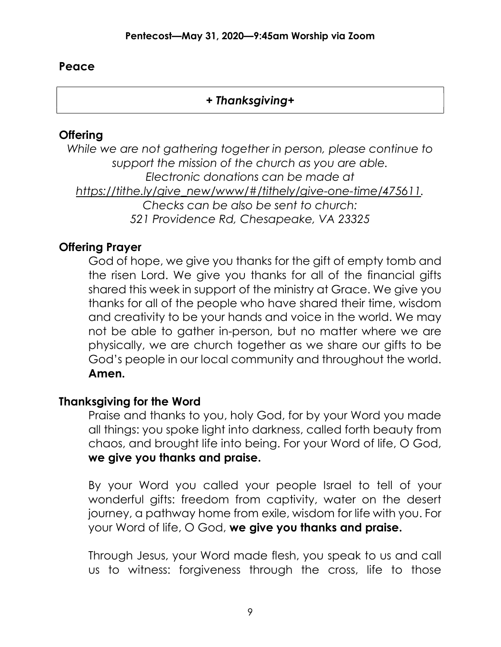## Peace

# + Thanksgiving+

# **Offering**

While we are not gathering together in person, please continue to support the mission of the church as you are able. Electronic donations can be made at https://tithe.ly/give\_new/www/#/tithely/give-one-time/475611. Checks can be also be sent to church: 521 Providence Rd, Chesapeake, VA 23325

# Offering Prayer

God of hope, we give you thanks for the gift of empty tomb and the risen Lord. We give you thanks for all of the financial gifts shared this week in support of the ministry at Grace. We give you thanks for all of the people who have shared their time, wisdom and creativity to be your hands and voice in the world. We may not be able to gather in-person, but no matter where we are physically, we are church together as we share our gifts to be God's people in our local community and throughout the world. Amen.

# Thanksgiving for the Word

Praise and thanks to you, holy God, for by your Word you made all things: you spoke light into darkness, called forth beauty from chaos, and brought life into being. For your Word of life, O God, we give you thanks and praise.

By your Word you called your people Israel to tell of your wonderful gifts: freedom from captivity, water on the desert journey, a pathway home from exile, wisdom for life with you. For your Word of life, O God, we give you thanks and praise.

Through Jesus, your Word made flesh, you speak to us and call us to witness: forgiveness through the cross, life to those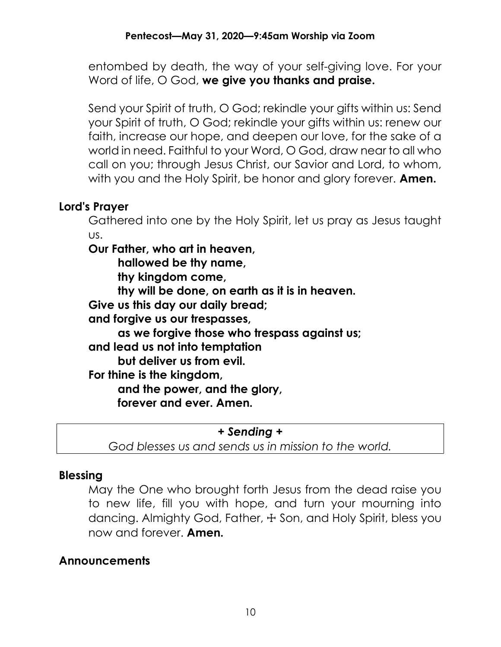entombed by death, the way of your self-giving love. For your Word of life, O God, we give you thanks and praise.

Send your Spirit of truth, O God; rekindle your gifts within us: Send your Spirit of truth, O God; rekindle your gifts within us: renew our faith, increase our hope, and deepen our love, for the sake of a world in need. Faithful to your Word, O God, draw near to all who call on you; through Jesus Christ, our Savior and Lord, to whom, with you and the Holy Spirit, be honor and glory forever. **Amen.** 

## Lord's Prayer

Gathered into one by the Holy Spirit, let us pray as Jesus taught us.

Our Father, who art in heaven,

hallowed be thy name,

thy kingdom come,

thy will be done, on earth as it is in heaven.

Give us this day our daily bread;

and forgive us our trespasses,

as we forgive those who trespass against us;

and lead us not into temptation

but deliver us from evil.

For thine is the kingdom,

and the power, and the glory,

forever and ever. Amen.

+ Sending +

God blesses us and sends us in mission to the world.

## Blessing

May the One who brought forth Jesus from the dead raise you to new life, fill you with hope, and turn your mourning into dancing. Almighty God, Father, + Son, and Holy Spirit, bless you now and forever. **Amen**.

# Announcements